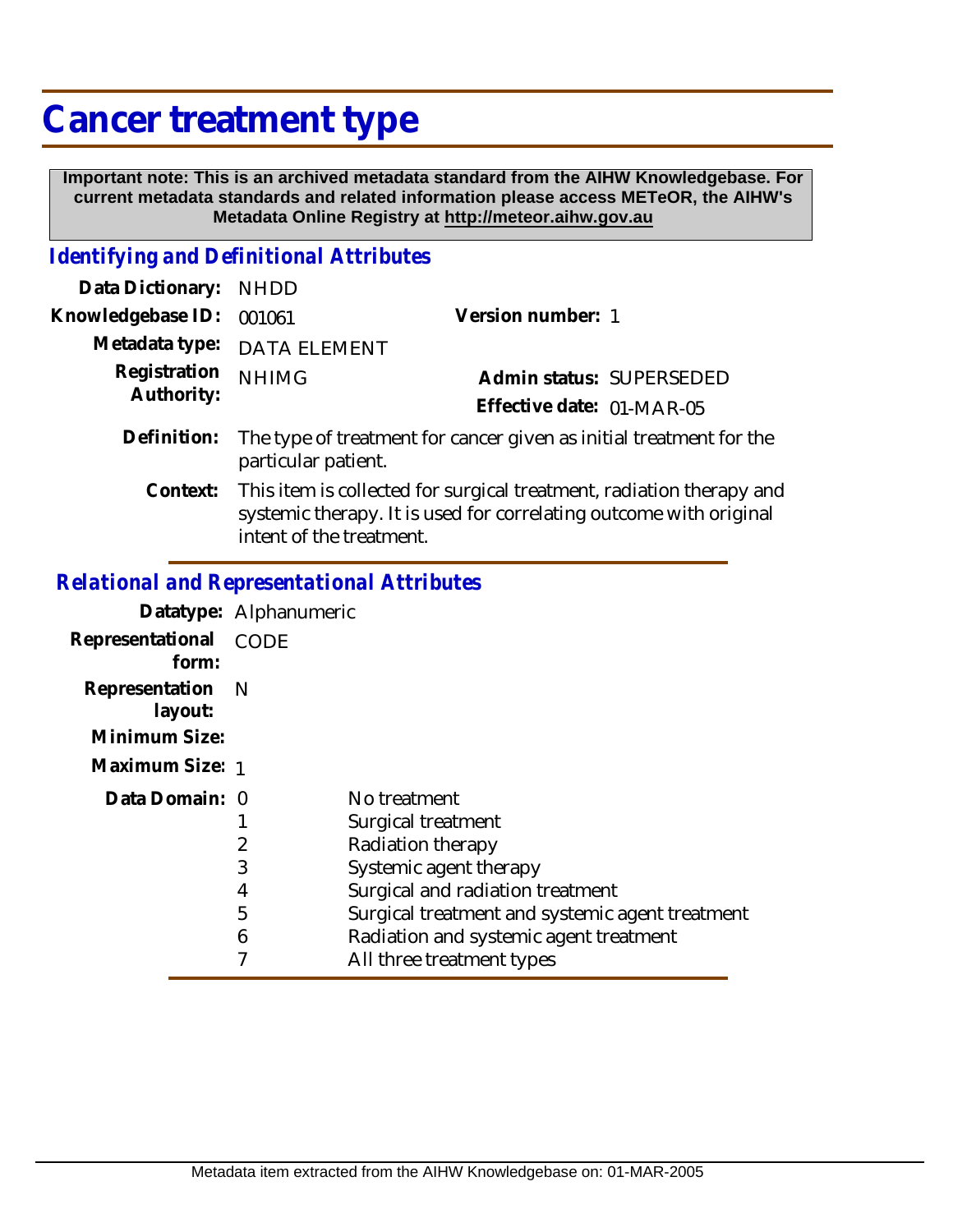## **Cancer treatment type**

 **Important note: This is an archived metadata standard from the AIHW Knowledgebase. For current metadata standards and related information please access METeOR, the AIHW's Metadata Online Registry at http://meteor.aihw.gov.au**

## *Identifying and Definitional Attributes*

| Data Dictionary: NHDD      |                                                                                                                                                                        |                                                                     |
|----------------------------|------------------------------------------------------------------------------------------------------------------------------------------------------------------------|---------------------------------------------------------------------|
| Knowledgebase ID:          | 001061                                                                                                                                                                 | Version number: 1                                                   |
|                            | Metadata type: DATA ELEMENT                                                                                                                                            |                                                                     |
| Registration<br>Authority: | <b>NHIMG</b>                                                                                                                                                           | Admin status: SUPERSEDED                                            |
|                            |                                                                                                                                                                        | Effective date: 01-MAR-05                                           |
| Definition:                | particular patient.                                                                                                                                                    | The type of treatment for cancer given as initial treatment for the |
| Context:                   | This item is collected for surgical treatment, radiation therapy and<br>systemic therapy. It is used for correlating outcome with original<br>intent of the treatment. |                                                                     |

## *Relational and Representational Attributes*

|                             | Datatype: Alphanumeric |                                                 |
|-----------------------------|------------------------|-------------------------------------------------|
| Representational<br>form:   | CODE                   |                                                 |
| Representation N<br>layout: |                        |                                                 |
| Minimum Size:               |                        |                                                 |
| Maximum Size: 1             |                        |                                                 |
| Data Domain: 0              |                        | No treatment                                    |
|                             |                        | Surgical treatment                              |
|                             |                        | Radiation therapy                               |
|                             | 3                      | Systemic agent therapy                          |
|                             | 4                      | Surgical and radiation treatment                |
|                             | 5                      | Surgical treatment and systemic agent treatment |
|                             | 6                      | Radiation and systemic agent treatment          |
|                             |                        | All three treatment types                       |